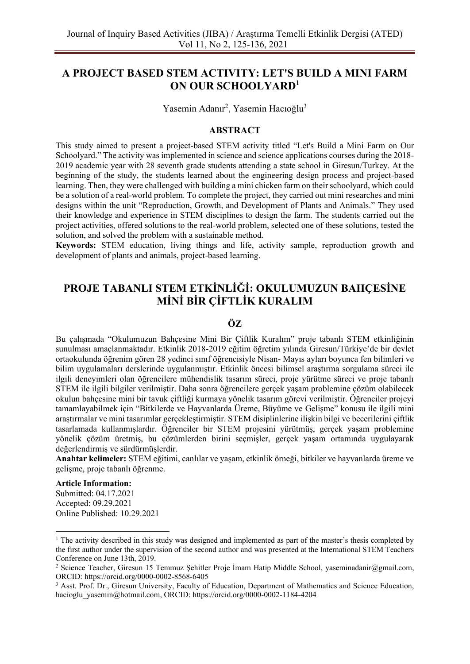## **A PROJECT BASED STEM ACTIVITY: LET'S BUILD A MINI FARM ON OUR SCHOOLYARD<sup>1</sup>**

Yasemin Adanır<sup>2</sup>, Yasemin Hacıoğlu<sup>3</sup>

## **ABSTRACT**

This study aimed to present a project-based STEM activity titled "Let's Build a Mini Farm on Our Schoolyard." The activity was implemented in science and science applications courses during the 2018- 2019 academic year with 28 seventh grade students attending a state school in Giresun/Turkey. At the beginning of the study, the students learned about the engineering design process and project-based learning. Then, they were challenged with building a mini chicken farm on their schoolyard, which could be a solution of a real-world problem. To complete the project, they carried out mini researches and mini designs within the unit "Reproduction, Growth, and Development of Plants and Animals." They used their knowledge and experience in STEM disciplines to design the farm. The students carried out the project activities, offered solutions to the real-world problem, selected one of these solutions, tested the solution, and solved the problem with a sustainable method.

**Keywords:** STEM education, living things and life, activity sample, reproduction growth and development of plants and animals, project-based learning.

# **PROJE TABANLI STEM ETKİNLİĞİ: OKULUMUZUN BAHÇESİNE MİNİ BİR ÇİFTLİK KURALIM**

## **ÖZ**

Bu çalışmada "Okulumuzun Bahçesine Mini Bir Çiftlik Kuralım" proje tabanlı STEM etkinliğinin sunulması amaçlanmaktadır. Etkinlik 2018-2019 eğitim öğretim yılında Giresun/Türkiye'de bir devlet ortaokulunda öğrenim gören 28 yedinci sınıf öğrencisiyle Nisan- Mayıs ayları boyunca fen bilimleri ve bilim uygulamaları derslerinde uygulanmıştır. Etkinlik öncesi bilimsel araştırma sorgulama süreci ile ilgili deneyimleri olan öğrencilere mühendislik tasarım süreci, proje yürütme süreci ve proje tabanlı STEM ile ilgili bilgiler verilmiştir. Daha sonra öğrencilere gerçek yaşam problemine çözüm olabilecek okulun bahçesine mini bir tavuk çiftliği kurmaya yönelik tasarım görevi verilmiştir. Öğrenciler projeyi tamamlayabilmek için "Bitkilerde ve Hayvanlarda Üreme, Büyüme ve Gelişme" konusu ile ilgili mini araştırmalar ve mini tasarımlar gerçekleştirmiştir. STEM disiplinlerine ilişkin bilgi ve becerilerini çiftlik tasarlamada kullanmışlardır. Öğrenciler bir STEM projesini yürütmüş, gerçek yaşam problemine yönelik çözüm üretmiş, bu çözümlerden birini seçmişler, gerçek yaşam ortamında uygulayarak değerlendirmiş ve sürdürmüşlerdir.

**Anahtar kelimeler:** STEM eğitimi, canlılar ve yaşam, etkinlik örneği, bitkiler ve hayvanlarda üreme ve gelişme, proje tabanlı öğrenme.

#### **Article Information:**

Submitted: 04.17.2021 Accepted: 09.29.2021 Online Published: 10.29.2021

<sup>&</sup>lt;sup>1</sup> The activity described in this study was designed and implemented as part of the master's thesis completed by the first author under the supervision of the second author and was presented at the International STEM Teachers Conference on June 13th, 2019.

<sup>2</sup> Science Teacher, Giresun 15 Temmuz Şehitler Proje İmam Hatip Middle School, yaseminadanir@gmail.com, ORCID: https://orcid.org/0000-0002-8568-6405

<sup>&</sup>lt;sup>3</sup> Asst. Prof. Dr., Giresun University, Faculty of Education, Department of Mathematics and Science Education, hacioglu\_yasemin@hotmail.com, ORCID: https://orcid.org/0000-0002-1184-4204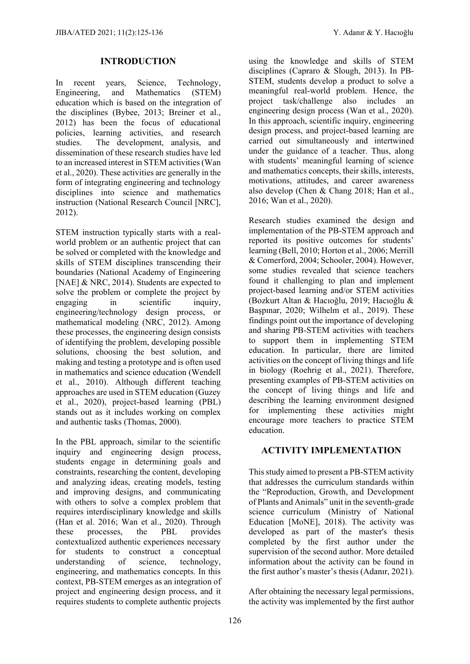### **INTRODUCTION**

In recent years, Science, Technology, Engineering, and Mathematics (STEM) education which is based on the integration of the disciplines (Bybee, 2013; Breiner et al., 2012) has been the focus of educational policies, learning activities, and research studies. The development, analysis, and dissemination of these research studies have led to an increased interest in STEM activities (Wan et al., 2020). These activities are generally in the form of integrating engineering and technology disciplines into science and mathematics instruction (National Research Council [NRC], 2012).

STEM instruction typically starts with a realworld problem or an authentic project that can be solved or completed with the knowledge and skills of STEM disciplines transcending their boundaries (National Academy of Engineering [NAE] & NRC, 2014). Students are expected to solve the problem or complete the project by engaging in scientific inquiry, engineering/technology design process, or mathematical modeling (NRC, 2012). Among these processes, the engineering design consists of identifying the problem, developing possible solutions, choosing the best solution, and making and testing a prototype and is often used in mathematics and science education (Wendell et al., 2010). Although different teaching approaches are used in STEM education (Guzey et al., 2020), project-based learning (PBL) stands out as it includes working on complex and authentic tasks (Thomas, 2000).

In the PBL approach, similar to the scientific inquiry and engineering design process, students engage in determining goals and constraints, researching the content, developing and analyzing ideas, creating models, testing and improving designs, and communicating with others to solve a complex problem that requires interdisciplinary knowledge and skills (Han et al. 2016; Wan et al., 2020). Through these processes, the PBL provides contextualized authentic experiences necessary for students to construct a conceptual<br>understanding of science, technology, understanding of science, technology, engineering, and mathematics concepts. In this context, PB-STEM emerges as an integration of project and engineering design process, and it requires students to complete authentic projects using the knowledge and skills of STEM disciplines (Capraro & Slough, 2013). In PB-STEM, students develop a product to solve a meaningful real-world problem. Hence, the project task/challenge also includes an engineering design process (Wan et al., 2020). In this approach, scientific inquiry, engineering design process, and project-based learning are carried out simultaneously and intertwined under the guidance of a teacher. Thus, along with students' meaningful learning of science and mathematics concepts, their skills, interests, motivations, attitudes, and career awareness also develop (Chen & Chang 2018; Han et al., 2016; Wan et al., 2020).

Research studies examined the design and implementation of the PB-STEM approach and reported its positive outcomes for students' learning (Bell, 2010; Horton et al., 2006; Merrill & Comerford, 2004; Schooler, 2004). However, some studies revealed that science teachers found it challenging to plan and implement project-based learning and/or STEM activities (Bozkurt Altan & Hacıoğlu, 2019; Hacıoğlu & Başpınar, 2020; Wilhelm et al., 2019). These findings point out the importance of developing and sharing PB-STEM activities with teachers to support them in implementing STEM education. In particular, there are limited activities on the concept of living things and life in biology (Roehrig et al., 2021). Therefore, presenting examples of PB-STEM activities on the concept of living things and life and describing the learning environment designed for implementing these activities might encourage more teachers to practice STEM education.

## **ACTIVITY IMPLEMENTATION**

This study aimed to present a PB-STEM activity that addresses the curriculum standards within the "Reproduction, Growth, and Development of Plants and Animals" unit in the seventh-grade science curriculum (Ministry of National Education [MoNE], 2018). The activity was developed as part of the master's thesis completed by the first author under the supervision of the second author. More detailed information about the activity can be found in the first author's master's thesis (Adanır, 2021).

After obtaining the necessary legal permissions, the activity was implemented by the first author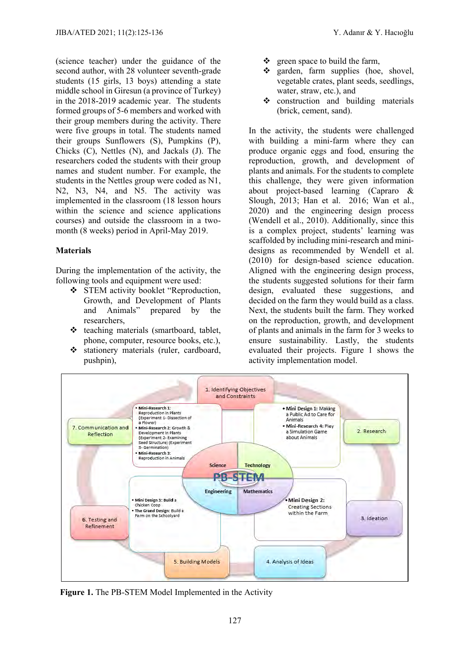(science teacher) under the guidance of the second author, with 28 volunteer seventh-grade students (15 girls, 13 boys) attending a state middle school in Giresun (a province of Turkey) in the 2018-2019 academic year. The students formed groups of 5-6 members and worked with their group members during the activity. There were five groups in total. The students named their groups Sunflowers (S), Pumpkins (P), Chicks (C), Nettles (N), and Jackals (J). The researchers coded the students with their group names and student number. For example, the students in the Nettles group were coded as N1, N2, N3, N4, and N5. The activity was implemented in the classroom (18 lesson hours within the science and science applications courses) and outside the classroom in a twomonth (8 weeks) period in April-May 2019.

### **Materials**

During the implementation of the activity, the following tools and equipment were used:

- ❖ STEM activity booklet "Reproduction, Growth, and Development of Plants and Animals" prepared by the researchers,
- ❖ teaching materials (smartboard, tablet, phone, computer, resource books, etc.),
- ❖ stationery materials (ruler, cardboard, pushpin),
- ❖ green space to build the farm,
- ❖ garden, farm supplies (hoe, shovel, vegetable crates, plant seeds, seedlings, water, straw, etc.), and
- ❖ construction and building materials (brick, cement, sand).

In the activity, the students were challenged with building a mini-farm where they can produce organic eggs and food, ensuring the reproduction, growth, and development of plants and animals. For the students to complete this challenge, they were given information about project-based learning (Capraro & Slough, 2013; Han et al. 2016; Wan et al., 2020) and the engineering design process (Wendell et al., 2010). Additionally, since this is a complex project, students' learning was scaffolded by including mini-research and minidesigns as recommended by Wendell et al. (2010) for design-based science education. Aligned with the engineering design process, the students suggested solutions for their farm design, evaluated these suggestions, and decided on the farm they would build as a class. Next, the students built the farm. They worked on the reproduction, growth, and development of plants and animals in the farm for 3 weeks to ensure sustainability. Lastly, the students evaluated their projects. Figure 1 shows the activity implementation model.



 **Figure 1.** The PB-STEM Model Implemented in the Activity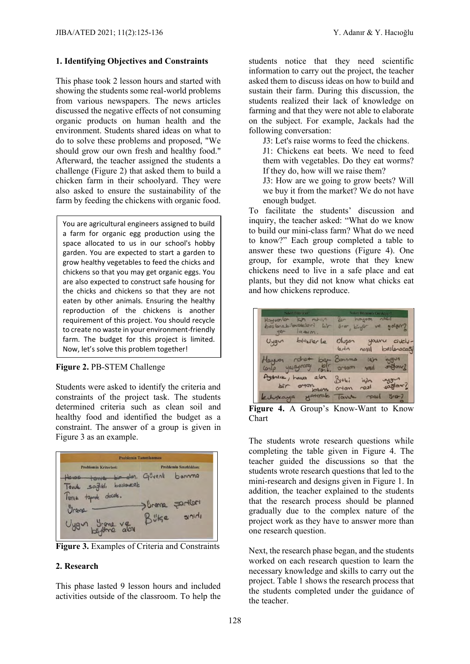#### **1. Identifying Objectives and Constraints**

This phase took 2 lesson hours and started with showing the students some real-world problems from various newspapers. The news articles discussed the negative effects of not consuming organic products on human health and the environment. Students shared ideas on what to do to solve these problems and proposed, "We should grow our own fresh and healthy food." Afterward, the teacher assigned the students a challenge (Figure 2) that asked them to build a chicken farm in their schoolyard. They were also asked to ensure the sustainability of the farm by feeding the chickens with organic food.

You are agricultural engineers assigned to build a farm for organic egg production using the space allocated to us in our school's hobby garden. You are expected to start a garden to grow healthy vegetables to feed the chicks and chickens so that you may get organic eggs. You are also expected to construct safe housing for the chicks and chickens so that they are not eaten by other animals. Ensuring the healthy reproduction of the chickens is another requirement of this project. You should recycle to create no waste in your environment-friendly farm. The budget for this project is limited. Now, let's solve this problem together!

**Figure 2.** PB-STEM Challenge

Students were asked to identify the criteria and constraints of the project task. The students determined criteria such as clean soil and healthy food and identified the budget as a constraint. The answer of a group is given in Figure 3 as an example.



**Figure 3.** Examples of Criteria and Constraints

#### **2. Research**

This phase lasted 9 lesson hours and included activities outside of the classroom. To help the

students notice that they need scientific information to carry out the project, the teacher asked them to discuss ideas on how to build and sustain their farm. During this discussion, the students realized their lack of knowledge on farming and that they were not able to elaborate on the subject. For example, Jackals had the following conversation:

J3: Let's raise worms to feed the chickens.

J1: Chickens eat beets. We need to feed them with vegetables. Do they eat worms? If they do, how will we raise them?

J3: How are we going to grow beets? Will we buy it from the market? We do not have enough budget.

To facilitate the students' discussion and inquiry, the teacher asked: "What do we know to build our mini-class farm? What do we need to know?" Each group completed a table to answer these two questions (Figure 4). One group, for example, wrote that they knew chickens need to live in a safe place and eat plants, but they did not know what chicks eat and how chickens reproduce.

| Neleri Billyoruz."<br>Hayvonlon<br>Fin rohan<br>beslene bilecakleri<br>br<br>$l$ atum.<br>yer | Neleri Bilmemiz Gerekiyor?<br>hayver resil<br>Br<br>ve golari?<br>gree proton |  |  |
|-----------------------------------------------------------------------------------------------|-------------------------------------------------------------------------------|--|--|
| bittiler le<br>$U$ ygun                                                                       | Olusan<br>youru<br>dielu-<br>$b$ $i \wedge$<br>besterocogy<br>nosil           |  |  |
| $rot + b$<br>Hayson<br>contp yasayecay told arran                                             | Bonna<br>milan<br>igh<br>segard<br>nosil                                      |  |  |
| Aydnick, have<br>alor<br>per array over                                                       | way<br>$D$ +ki<br>igh<br>saglant?<br>max1<br>ortam                            |  |  |
| eduseaya garrak                                                                               | $5 - 7$<br>lavue                                                              |  |  |

**Figure 4.** A Group's Know-Want to Know Chart

The students wrote research questions while completing the table given in Figure 4. The teacher guided the discussions so that the students wrote research questions that led to the mini-research and designs given in Figure 1. In addition, the teacher explained to the students that the research process should be planned gradually due to the complex nature of the project work as they have to answer more than one research question.

Next, the research phase began, and the students worked on each research question to learn the necessary knowledge and skills to carry out the project. Table 1 shows the research process that the students completed under the guidance of the teacher.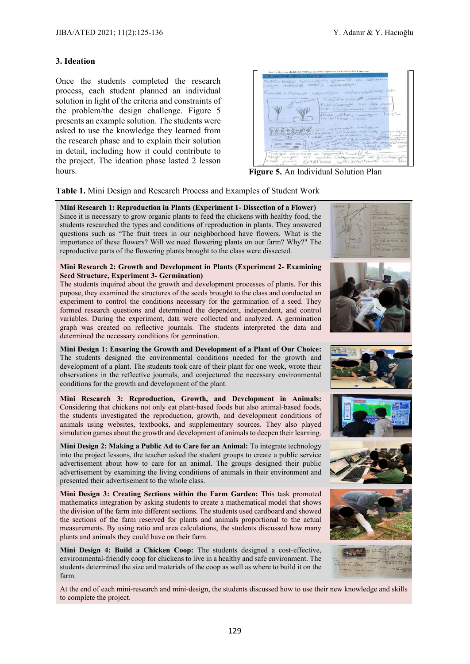#### **3. Ideation**

Once the students completed the research process, each student planned an individual solution in light of the criteria and constraints of the problem/the design challenge. Figure 5 presents an example solution. The students were asked to use the knowledge they learned from the research phase and to explain their solution in detail, including how it could contribute to the project. The ideation phase lasted 2 lesson hours. **Figure 5.** An Individual Solution Plan

| Rolf Belly's futuresting given till you Kollare<br>come Hathall learn I receivem.<br>Pancos = Pancas changer belenchilroesi ian               |
|-----------------------------------------------------------------------------------------------------------------------------------------------|
| Samo Review structor<br>Pancos<br>tide observers are do pan-<br>Tol Post currencipation that<br>more, extin; toward beste<br>ne bilmesi isin. |
| mealno matoroje Hip-<br>the country of contractor helps separation<br>Communication of the Communication                                      |
| Townson escorres as bayonesis Towns!<br>except preaser bir contain. Dealer are the building yate<br>roll neer Bittlikes yotisebilmesi isin Ha |

**Table 1.** Mini Design and Research Process and Examples of Student Work

**Mini Research 1: Reproduction in Plants (Experiment 1- Dissection of a Flower)** Since it is necessary to grow organic plants to feed the chickens with healthy food, the students researched the types and conditions of reproduction in plants. They answered questions such as "The fruit trees in our neighborhood have flowers. What is the importance of these flowers? Will we need flowering plants on our farm? Why?" The reproductive parts of the flowering plants brought to the class were dissected.

#### **Mini Research 2: Growth and Development in Plants (Experiment 2- Examining Seed Structure, Experiment 3- Germination)**

The students inquired about the growth and development processes of plants. For this pupose, they examined the structures of the seeds brought to the class and conducted an experiment to control the conditions necessary for the germination of a seed. They formed research questions and determined the dependent, independent, and control variables. During the experiment, data were collected and analyzed. A germination graph was created on reflective journals. The students interpreted the data and determined the necessary conditions for germination.

**Mini Design 1: Ensuring the Growth and Development of a Plant of Our Choice:**  The students designed the environmental conditions needed for the growth and development of a plant. The students took care of their plant for one week, wrote their observations in the reflective journals, and conjectured the necessary environmental conditions for the growth and development of the plant.

**Mini Research 3: Reproduction, Growth, and Development in Animals:**  Considering that chickens not only eat plant-based foods but also animal-based foods, the students investigated the reproduction, growth, and development conditions of animals using websites, textbooks, and supplementary sources. They also played simulation games about the growth and development of animals to deepen their learning.

**Mini Design 2: Making a Public Ad to Care for an Animal:** To integrate technology into the project lessons, the teacher asked the student groups to create a public service advertisement about how to care for an animal. The groups designed their public advertisement by examining the living conditions of animals in their environment and presented their advertisement to the whole class.

**Mini Design 3: Creating Sections within the Farm Garden:** This task promoted mathematics integration by asking students to create a mathematical model that shows the division of the farm into different sections. The students used cardboard and showed the sections of the farm reserved for plants and animals proportional to the actual measurements. By using ratio and area calculations, the students discussed how many plants and animals they could have on their farm.

**Mini Design 4: Build a Chicken Coop:** The students designed a cost-effective, environmental-friendly coop for chickens to live in a healthy and safe environment. The students determined the size and materials of the coop as well as where to build it on the farm.









At the end of each mini-research and mini-design, the students discussed how to use their new knowledge and skills to complete the project.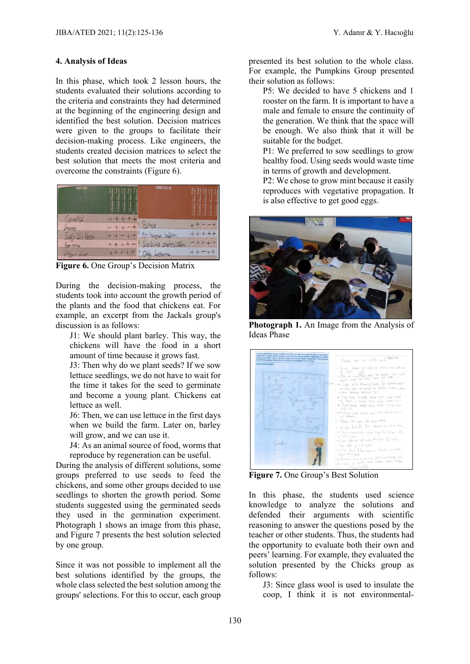## **4. Analysis of Ideas**

In this phase, which took 2 lesson hours, the students evaluated their solutions according to the criteria and constraints they had determined at the beginning of the engineering design and identified the best solution. Decision matrices were given to the groups to facilitate their decision-making process. Like engineers, the students created decision matrices to select the best solution that meets the most criteria and overcome the constraints (Figure 6).

| <b>KRITTLER</b> | SINRLILINLAR                            | ić |
|-----------------|-----------------------------------------|----|
| Wall<br>reme    |                                         |    |
| Besin           | Bir<br>$\ln n$<br>$\infty$              |    |
| Borinna<br>alan | Lineter lilmi<br>$\varrho_{\rm D}$<br>n |    |

**Figure 6.** One Group's Decision Matrix

During the decision-making process, the students took into account the growth period of the plants and the food that chickens eat. For example, an excerpt from the Jackals group's discussion is as follows:

J1: We should plant barley. This way, the chickens will have the food in a short amount of time because it grows fast.

J3: Then why do we plant seeds? If we sow lettuce seedlings, we do not have to wait for the time it takes for the seed to germinate and become a young plant. Chickens eat lettuce as well.

J6: Then, we can use lettuce in the first days when we build the farm. Later on, barley will grow, and we can use it.

J4: As an animal source of food, worms that reproduce by regeneration can be useful.

During the analysis of different solutions, some groups preferred to use seeds to feed the chickens, and some other groups decided to use seedlings to shorten the growth period. Some students suggested using the germinated seeds they used in the germination experiment. Photograph 1 shows an image from this phase, and Figure 7 presents the best solution selected by one group.

Since it was not possible to implement all the best solutions identified by the groups, the whole class selected the best solution among the groups' selections. For this to occur, each group

presented its best solution to the whole class. For example, the Pumpkins Group presented their solution as follows:

P5: We decided to have 5 chickens and 1 rooster on the farm. It is important to have a male and female to ensure the continuity of the generation. We think that the space will be enough. We also think that it will be suitable for the budget.

P1: We preferred to sow seedlings to grow healthy food. Using seeds would waste time in terms of growth and development.

P2: We chose to grow mint because it easily reproduces with vegetative propagation. It is also effective to get good eggs.



**Photograph 1.** An Image from the Analysis of Ideas Phase



**Figure 7.** One Group's Best Solution

In this phase, the students used science knowledge to analyze the solutions and defended their arguments with scientific reasoning to answer the questions posed by the teacher or other students. Thus, the students had the opportunity to evaluate both their own and peers' learning. For example, they evaluated the solution presented by the Chicks group as follows:

J3: Since glass wool is used to insulate the coop, I think it is not environmental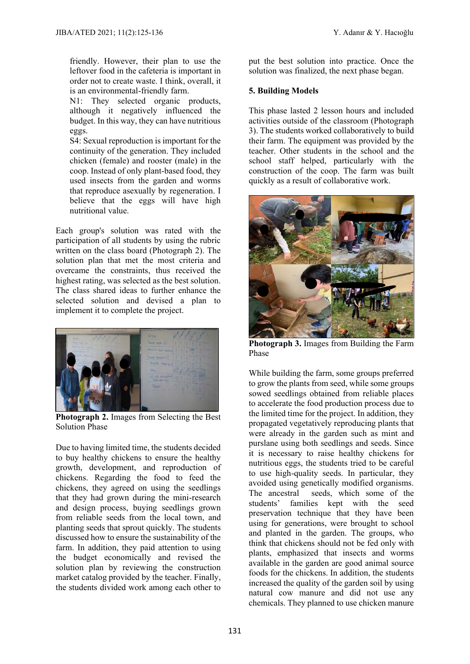friendly. However, their plan to use the leftover food in the cafeteria is important in order not to create waste. I think, overall, it is an environmental-friendly farm.

N1: They selected organic products, although it negatively influenced the budget. In this way, they can have nutritious eggs.

S4: Sexual reproduction is important for the continuity of the generation. They included chicken (female) and rooster (male) in the coop. Instead of only plant-based food, they used insects from the garden and worms that reproduce asexually by regeneration. I believe that the eggs will have high nutritional value.

Each group's solution was rated with the participation of all students by using the rubric written on the class board (Photograph 2). The solution plan that met the most criteria and overcame the constraints, thus received the highest rating, was selected as the best solution. The class shared ideas to further enhance the selected solution and devised a plan to implement it to complete the project.



**Photograph 2.** Images from Selecting the Best Solution Phase

Due to having limited time, the students decided to buy healthy chickens to ensure the healthy growth, development, and reproduction of chickens. Regarding the food to feed the chickens, they agreed on using the seedlings that they had grown during the mini-research and design process, buying seedlings grown from reliable seeds from the local town, and planting seeds that sprout quickly. The students discussed how to ensure the sustainability of the farm. In addition, they paid attention to using the budget economically and revised the solution plan by reviewing the construction market catalog provided by the teacher. Finally, the students divided work among each other to put the best solution into practice. Once the solution was finalized, the next phase began.

## **5. Building Models**

This phase lasted 2 lesson hours and included activities outside of the classroom (Photograph 3). The students worked collaboratively to build their farm. The equipment was provided by the teacher. Other students in the school and the school staff helped, particularly with the construction of the coop. The farm was built quickly as a result of collaborative work.



**Photograph 3.** Images from Building the Farm Phase

While building the farm, some groups preferred to grow the plants from seed, while some groups sowed seedlings obtained from reliable places to accelerate the food production process due to the limited time for the project. In addition, they propagated vegetatively reproducing plants that were already in the garden such as mint and purslane using both seedlings and seeds. Since it is necessary to raise healthy chickens for nutritious eggs, the students tried to be careful to use high-quality seeds. In particular, they avoided using genetically modified organisms. The ancestral seeds, which some of the students' families kept with the seed preservation technique that they have been using for generations, were brought to school and planted in the garden. The groups, who think that chickens should not be fed only with plants, emphasized that insects and worms available in the garden are good animal source foods for the chickens. In addition, the students increased the quality of the garden soil by using natural cow manure and did not use any chemicals. They planned to use chicken manure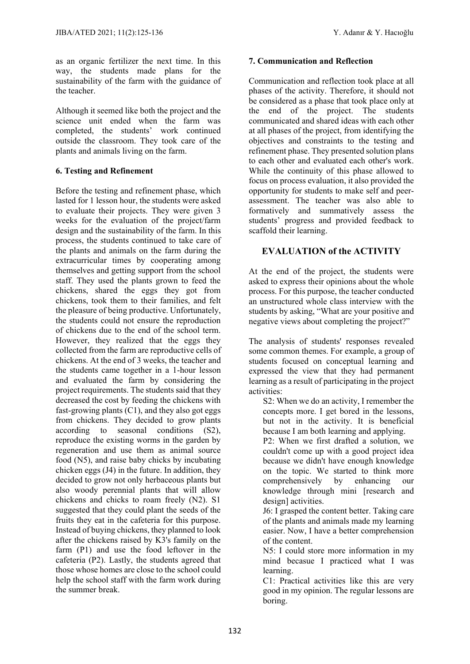as an organic fertilizer the next time. In this way, the students made plans for the sustainability of the farm with the guidance of the teacher.

Although it seemed like both the project and the science unit ended when the farm was completed, the students' work continued outside the classroom. They took care of the plants and animals living on the farm.

## **6. Testing and Refinement**

Before the testing and refinement phase, which lasted for 1 lesson hour, the students were asked to evaluate their projects. They were given 3 weeks for the evaluation of the project/farm design and the sustainability of the farm. In this process, the students continued to take care of the plants and animals on the farm during the extracurricular times by cooperating among themselves and getting support from the school staff. They used the plants grown to feed the chickens, shared the eggs they got from chickens, took them to their families, and felt the pleasure of being productive. Unfortunately, the students could not ensure the reproduction of chickens due to the end of the school term. However, they realized that the eggs they collected from the farm are reproductive cells of chickens. At the end of 3 weeks, the teacher and the students came together in a 1-hour lesson and evaluated the farm by considering the project requirements. The students said that they decreased the cost by feeding the chickens with fast-growing plants (C1), and they also got eggs from chickens. They decided to grow plants according to seasonal conditions (S2), reproduce the existing worms in the garden by regeneration and use them as animal source food (N5), and raise baby chicks by incubating chicken eggs (J4) in the future. In addition, they decided to grow not only herbaceous plants but also woody perennial plants that will allow chickens and chicks to roam freely (N2). S1 suggested that they could plant the seeds of the fruits they eat in the cafeteria for this purpose. Instead of buying chickens, they planned to look after the chickens raised by K3's family on the farm (P1) and use the food leftover in the cafeteria (P2). Lastly, the students agreed that those whose homes are close to the school could help the school staff with the farm work during the summer break.

## **7. Communication and Reflection**

Communication and reflection took place at all phases of the activity. Therefore, it should not be considered as a phase that took place only at the end of the project. The students communicated and shared ideas with each other at all phases of the project, from identifying the objectives and constraints to the testing and refinement phase. They presented solution plans to each other and evaluated each other's work. While the continuity of this phase allowed to focus on process evaluation, it also provided the opportunity for students to make self and peerassessment. The teacher was also able to formatively and summatively assess the students' progress and provided feedback to scaffold their learning.

## **EVALUATION of the ACTIVITY**

At the end of the project, the students were asked to express their opinions about the whole process. For this purpose, the teacher conducted an unstructured whole class interview with the students by asking, "What are your positive and negative views about completing the project?"

The analysis of students' responses revealed some common themes. For example, a group of students focused on conceptual learning and expressed the view that they had permanent learning as a result of participating in the project activities:

S2: When we do an activity, I remember the concepts more. I get bored in the lessons, but not in the activity. It is beneficial because I am both learning and applying.

P2: When we first drafted a solution, we couldn't come up with a good project idea because we didn't have enough knowledge on the topic. We started to think more comprehensively by enhancing our knowledge through mini [research and design] activities.

J6: I grasped the content better. Taking care of the plants and animals made my learning easier. Now, I have a better comprehension of the content.

N5: I could store more information in my mind becasue I practiced what I was learning.

C1: Practical activities like this are very good in my opinion. The regular lessons are boring.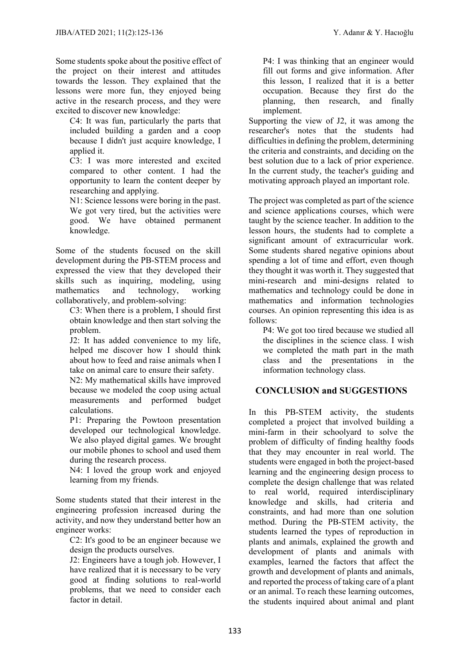Some students spoke about the positive effect of the project on their interest and attitudes towards the lesson. They explained that the lessons were more fun, they enjoyed being active in the research process, and they were excited to discover new knowledge:

C4: It was fun, particularly the parts that included building a garden and a coop because I didn't just acquire knowledge, I applied it.

C3: I was more interested and excited compared to other content. I had the opportunity to learn the content deeper by researching and applying.

N1: Science lessons were boring in the past. We got very tired, but the activities were good. We have obtained permanent knowledge.

Some of the students focused on the skill development during the PB-STEM process and expressed the view that they developed their skills such as inquiring, modeling, using mathematics and technology, working collaboratively, and problem-solving:

C3: When there is a problem, I should first obtain knowledge and then start solving the problem.

J2: It has added convenience to my life, helped me discover how I should think about how to feed and raise animals when I take on animal care to ensure their safety.

N2: My mathematical skills have improved because we modeled the coop using actual measurements and performed budget calculations.

P1: Preparing the Powtoon presentation developed our technological knowledge. We also played digital games. We brought our mobile phones to school and used them during the research process.

N4: I loved the group work and enjoyed learning from my friends.

Some students stated that their interest in the engineering profession increased during the activity, and now they understand better how an engineer works:

C2: It's good to be an engineer because we design the products ourselves.

J2: Engineers have a tough job. However, I have realized that it is necessary to be very good at finding solutions to real-world problems, that we need to consider each factor in detail.

P4: I was thinking that an engineer would fill out forms and give information. After this lesson, I realized that it is a better occupation. Because they first do the planning, then research, and finally implement.

Supporting the view of J2, it was among the researcher's notes that the students had difficulties in defining the problem, determining the criteria and constraints, and deciding on the best solution due to a lack of prior experience. In the current study, the teacher's guiding and motivating approach played an important role.

The project was completed as part of the science and science applications courses, which were taught by the science teacher. In addition to the lesson hours, the students had to complete a significant amount of extracurricular work. Some students shared negative opinions about spending a lot of time and effort, even though they thought it was worth it. They suggested that mini-research and mini-designs related to mathematics and technology could be done in mathematics and information technologies courses. An opinion representing this idea is as follows:

P4: We got too tired because we studied all the disciplines in the science class. I wish we completed the math part in the math class and the presentations in the information technology class.

## **CONCLUSION and SUGGESTIONS**

In this PB-STEM activity, the students completed a project that involved building a mini-farm in their schoolyard to solve the problem of difficulty of finding healthy foods that they may encounter in real world. The students were engaged in both the project-based learning and the engineering design process to complete the design challenge that was related to real world, required interdisciplinary knowledge and skills, had criteria and constraints, and had more than one solution method. During the PB-STEM activity, the students learned the types of reproduction in plants and animals, explained the growth and development of plants and animals with examples, learned the factors that affect the growth and development of plants and animals, and reported the process of taking care of a plant or an animal. To reach these learning outcomes, the students inquired about animal and plant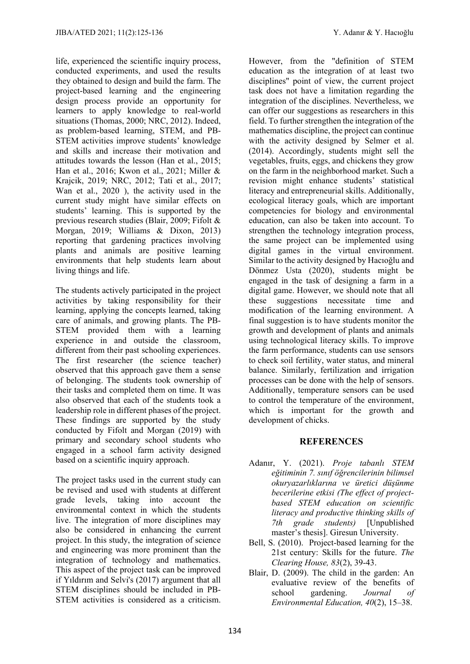life, experienced the scientific inquiry process, conducted experiments, and used the results they obtained to design and build the farm. The project-based learning and the engineering design process provide an opportunity for learners to apply knowledge to real-world situations (Thomas, 2000; NRC, 2012). Indeed, as problem-based learning, STEM, and PB-STEM activities improve students' knowledge and skills and increase their motivation and attitudes towards the lesson (Han et al., 2015; Han et al., 2016; Kwon et al., 2021; Miller & Krajcik, 2019; NRC, 2012; Tati et al., 2017; Wan et al., 2020 ), the activity used in the current study might have similar effects on students' learning. This is supported by the previous research studies (Blair, 2009; Fifolt & Morgan, 2019; Williams & Dixon, 2013) reporting that gardening practices involving plants and animals are positive learning environments that help students learn about living things and life.

The students actively participated in the project activities by taking responsibility for their learning, applying the concepts learned, taking care of animals, and growing plants. The PB-STEM provided them with a learning experience in and outside the classroom, different from their past schooling experiences. The first researcher (the science teacher) observed that this approach gave them a sense of belonging. The students took ownership of their tasks and completed them on time. It was also observed that each of the students took a leadership role in different phases of the project. These findings are supported by the study conducted by Fifolt and Morgan (2019) with primary and secondary school students who engaged in a school farm activity designed based on a scientific inquiry approach.

The project tasks used in the current study can be revised and used with students at different grade levels, taking into account the environmental context in which the students live. The integration of more disciplines may also be considered in enhancing the current project. In this study, the integration of science and engineering was more prominent than the integration of technology and mathematics. This aspect of the project task can be improved if Yıldırım and Selvi's (2017) argument that all STEM disciplines should be included in PB-STEM activities is considered as a criticism.

However, from the "definition of STEM education as the integration of at least two disciplines" point of view, the current project task does not have a limitation regarding the integration of the disciplines. Nevertheless, we can offer our suggestions as researchers in this field. To further strengthen the integration of the mathematics discipline, the project can continue with the activity designed by Selmer et al. (2014). Accordingly, students might sell the vegetables, fruits, eggs, and chickens they grow on the farm in the neighborhood market. Such a revision might enhance students' statistical literacy and entrepreneurial skills. Additionally, ecological literacy goals, which are important competencies for biology and environmental education, can also be taken into account. To strengthen the technology integration process, the same project can be implemented using digital games in the virtual environment. Similar to the activity designed by Hacıoğlu and Dönmez Usta (2020), students might be engaged in the task of designing a farm in a digital game. However, we should note that all these suggestions necessitate time and modification of the learning environment. A final suggestion is to have students monitor the growth and development of plants and animals using technological literacy skills. To improve the farm performance, students can use sensors to check soil fertility, water status, and mineral balance. Similarly, fertilization and irrigation processes can be done with the help of sensors. Additionally, temperature sensors can be used to control the temperature of the environment, which is important for the growth and development of chicks.

## **REFERENCES**

- Adanır, Y. (2021). *Proje tabanlı STEM eğitiminin 7. sınıf öğrencilerinin bilimsel okuryazarlıklarına ve üretici düşünme becerilerine etkisi (The effect of projectbased STEM education on scientific literacy and productive thinking skills of 7th grade students)* [Unpublished master's thesis]. Giresun University.
- Bell, S. (2010). Project-based learning for the 21st century: Skills for the future. *The Clearing House, 83*(2), 39-43.
- Blair, D. (2009). The child in the garden: An evaluative review of the benefits of school gardening. *Journal of Environmental Education, 40*(2), 15–38.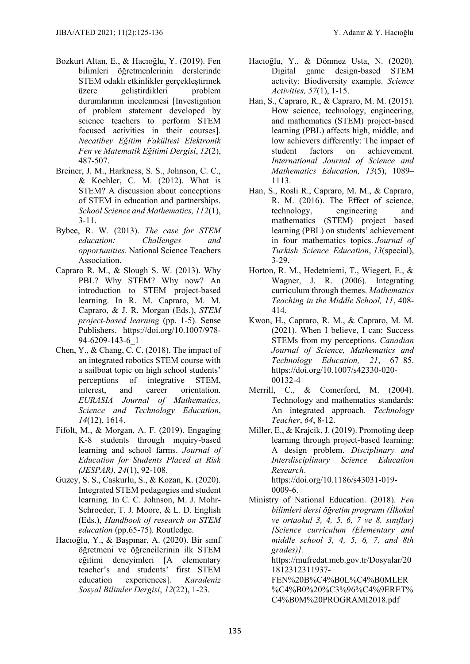- Bozkurt Altan, E., & Hacıoğlu, Y. (2019). Fen bilimleri öğretmenlerinin derslerinde STEM odaklı etkinlikler gerçekleştirmek<br>üzere geliştirdikleri problem üzere geliştirdikleri durumlarının incelenmesi [Investigation of problem statement developed by science teachers to perform STEM focused activities in their courses]. *Necatibey Eğitim Fakültesi Elektronik Fen ve Matematik Eğitimi Dergisi*, *12*(2), 487-507.
- Breiner, J. M., Harkness, S. S., Johnson, C. C., & Koehler, C. M. (2012). What is STEM? A discussion about conceptions of STEM in education and partnerships. *School Science and Mathematics, 112*(1), 3-11.
- Bybee, R. W. (2013). *The case for STEM education: Challenges and opportunities.* National Science Teachers Association.
- Capraro R. M., & Slough S. W. (2013). Why PBL? Why STEM? Why now? An introduction to STEM project-based learning. In R. M. Capraro, M. M. Capraro, & J. R. Morgan (Eds.), *STEM project-based learning* (pp. 1-5). Sense Publishers. https://doi.org/10.1007/978- 94-6209-143-6\_1
- Chen, Y., & Chang, C. C. (2018). The impact of an integrated robotics STEM course with a sailboat topic on high school students' perceptions of integrative STEM, interest, and career orientation. *EURASIA Journal of Mathematics, Science and Technology Education*, *14*(12), 1614.
- Fifolt, M., & Morgan, A. F. (2019). Engaging K-8 students through ınquiry-based learning and school farms. *Journal of Education for Students Placed at Risk (JESPAR), 24*(1), 92-108.
- Guzey, S. S., Caskurlu, S., & Kozan, K. (2020). Integrated STEM pedagogies and student learning. In C. C. Johnson, M. J. Mohr-Schroeder, T. J. Moore, & L. D. English (Eds.), *Handbook of research on STEM education* (pp.65-75)*.* Routledge.
- Hacıoğlu, Y., & Başpınar, A. (2020). Bir sınıf öğretmeni ve öğrencilerinin ilk STEM eğitimi deneyimleri [A elementary teacher's and students' first STEM education experiences]. *Karadeniz Sosyal Bilimler Dergisi*, *12*(22), 1-23.
- Hacıoğlu, Y., & Dönmez Usta, N. (2020). Digital game design-based STEM activity: Biodiversity example. *Science Activities, 57*(1), 1-15.
- Han, S., Capraro, R., & Capraro, M. M. (2015). How science, technology, engineering, and mathematics (STEM) project-based learning (PBL) affects high, middle, and low achievers differently: The impact of student factors on achievement. *International Journal of Science and Mathematics Education, 13*(5), 1089– 1113.
- Han, S., Rosli R., Capraro, M. M., & Capraro, R. M. (2016). The Effect of science, technology, engineering and mathematics (STEM) project based learning (PBL) on students' achievement in four mathematics topics. *Journal of Turkish Science Education*, *13*(special), 3-29.
- Horton, R. M., Hedetniemi, T., Wiegert, E., & Wagner, J. R. (2006). Integrating curriculum through themes. *Mathematics Teaching in the Middle School, 11*, 408- 414.
- Kwon, H., Capraro, R. M., & Capraro, M. M. (2021). When I believe, I can: Success STEMs from my perceptions. *Canadian Journal of Science, Mathematics and Technology Education, 21*, 67–85. https://doi.org/10.1007/s42330-020- 00132-4
- Merrill, C., & Comerford, M. (2004). Technology and mathematics standards: An integrated approach. *Technology Teacher*, *64*, 8-12.
- Miller, E., & Krajcik, J. (2019). Promoting deep learning through project-based learning: A design problem. *Disciplinary and Interdisciplinary Science Education Research*. [https://doi.org/10.1186/s43031-019-](https://doi.org/10.1186/s43031-019-0009-6) [0009-6.](https://doi.org/10.1186/s43031-019-0009-6)
- Ministry of National Education. (2018). *Fen bilimleri dersi öğretim programı (İlkokul ve ortaokul 3, 4, 5, 6, 7 ve 8. sınıflar) [Science curriculum (Elementary and middle school 3, 4, 5, 6, 7, and 8th grades)].*

https://mufredat.meb.gov.tr/Dosyalar/20 1812312311937-

FEN%20B%C4%B0L%C4%B0MLER %C4%B0%20%C3%96%C4%9ERET% C4%B0M%20PROGRAMI2018.pdf